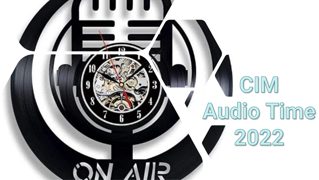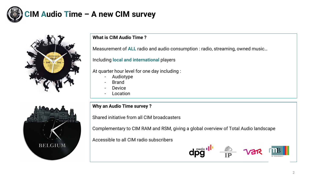

### **CIM Audio Time – A new CIM survey**



### **What is CIM Audio Time ?**

Measurement of **ALL** radio and audio consumption : radio, streaming, owned music…

Including **local and international** players

At quarter hour level for one day including :

- Audiotype
- **Brand**
- **Device**
- **Location**

# **BELGIUM**

### **Why an Audio Time survey ?**

Shared initiative from all CIM broadcasters

Complementary to CIM RAM and RSM, giving a global overview of Total Audio landscape

Accessible to all CIM radio subscribers

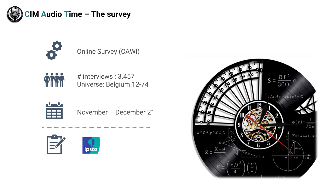



Online Survey (CAWI)



# interviews : 3.457 Universe: Belgium 12-74



November – December 21



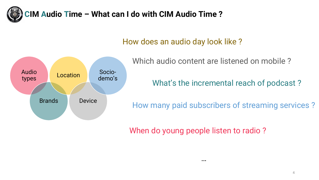

### **CIM Audio Time – What can I do with CIM Audio Time ?**

### How does an audio day look like ?



Which audio content are listened on mobile ?

What's the incremental reach of podcast ?

How many paid subscribers of streaming services ?

When do young people listen to radio ?

…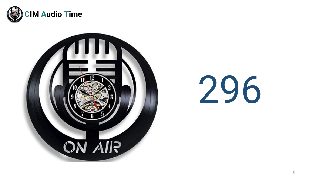



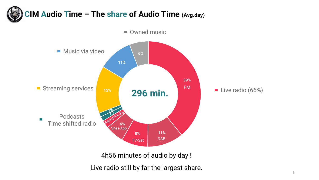



4h56 minutes of audio by day !

Live radio still by far the largest share.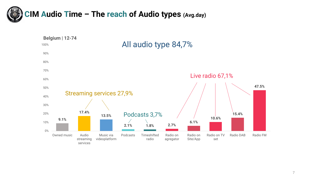

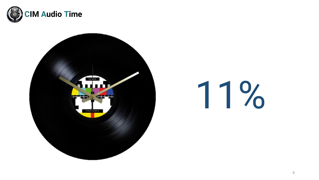



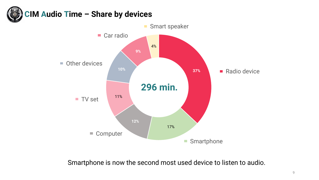



Smartphone is now the second most used device to listen to audio.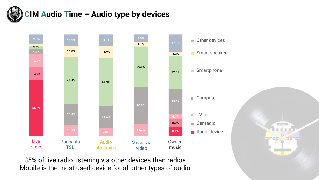

# **CIM Audio Time – Audio type by devices**



35% of live radio listening via other devices than radios. Mobile is the most used device for all other types of audio.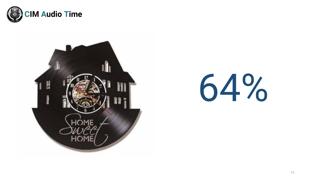



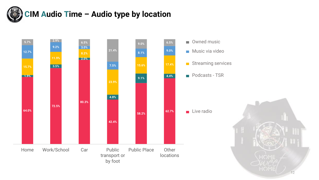

# **CIM Audio Time – Audio type by location**

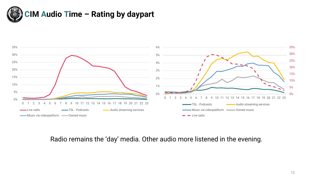



Radio remains the 'day' media. Other audio more listened in the evening.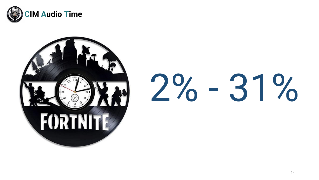



# 2% - 31%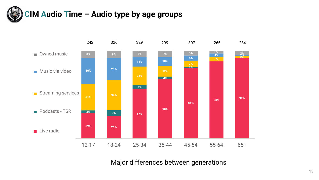



Major differences between generations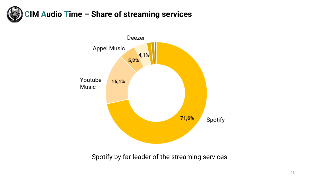



Spotify by far leader of the streaming services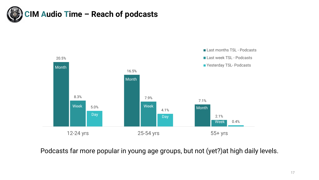



Podcasts far more popular in young age groups, but not (yet?)at high daily levels.